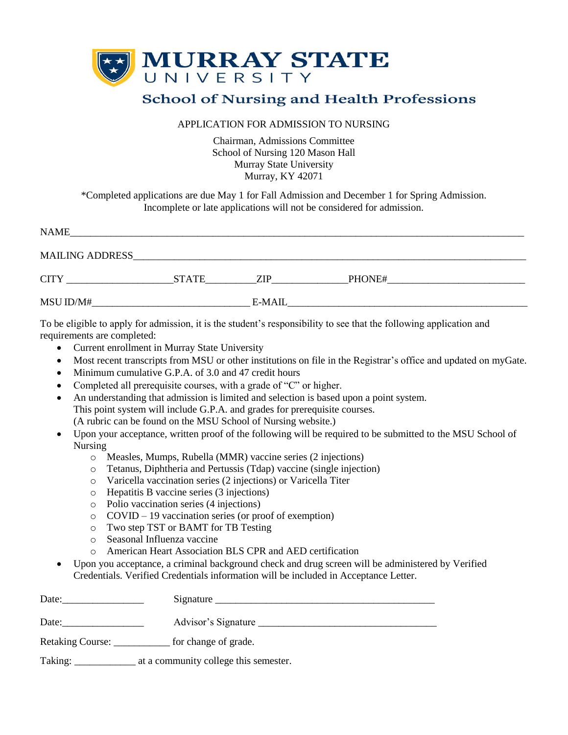

## **School of Nursing and Health Professions**

## APPLICATION FOR ADMISSION TO NURSING

Chairman, Admissions Committee School of Nursing 120 Mason Hall Murray State University Murray, KY 42071

\*Completed applications are due May 1 for Fall Admission and December 1 for Spring Admission. Incomplete or late applications will not be considered for admission.

| <b>NAME</b>            |              |        |        |
|------------------------|--------------|--------|--------|
| <b>MAILING ADDRESS</b> |              |        |        |
| <b>CITY</b>            | <b>STATE</b> | ZIP    | PHONE# |
| MSU ID/M#              |              | E-MAIL |        |

To be eligible to apply for admission, it is the student's responsibility to see that the following application and requirements are completed:

- Current enrollment in Murray State University
- Most recent transcripts from MSU or other institutions on file in the Registrar's office and updated on myGate.
- Minimum cumulative G.P.A. of 3.0 and 47 credit hours
- Completed all prerequisite courses, with a grade of "C" or higher.
- An understanding that admission is limited and selection is based upon a point system. This point system will include G.P.A. and grades for prerequisite courses. (A rubric can be found on the MSU School of Nursing website.)
- Upon your acceptance, written proof of the following will be required to be submitted to the MSU School of Nursing
	- o Measles, Mumps, Rubella (MMR) vaccine series (2 injections)
	- o Tetanus, Diphtheria and Pertussis (Tdap) vaccine (single injection)
	- o Varicella vaccination series (2 injections) or Varicella Titer
	- o Hepatitis B vaccine series (3 injections)
	- o Polio vaccination series (4 injections)
	- o COVID 19 vaccination series (or proof of exemption)
	- o Two step TST or BAMT for TB Testing
	- o Seasonal Influenza vaccine
	- o American Heart Association BLS CPR and AED certification
- Upon you acceptance, a criminal background check and drug screen will be administered by Verified Credentials. Verified Credentials information will be included in Acceptance Letter.

| Date:            | Signature                             |
|------------------|---------------------------------------|
| Date:            | Advisor's Signature                   |
| Retaking Course: | for change of grade.                  |
| Taking:          | at a community college this semester. |